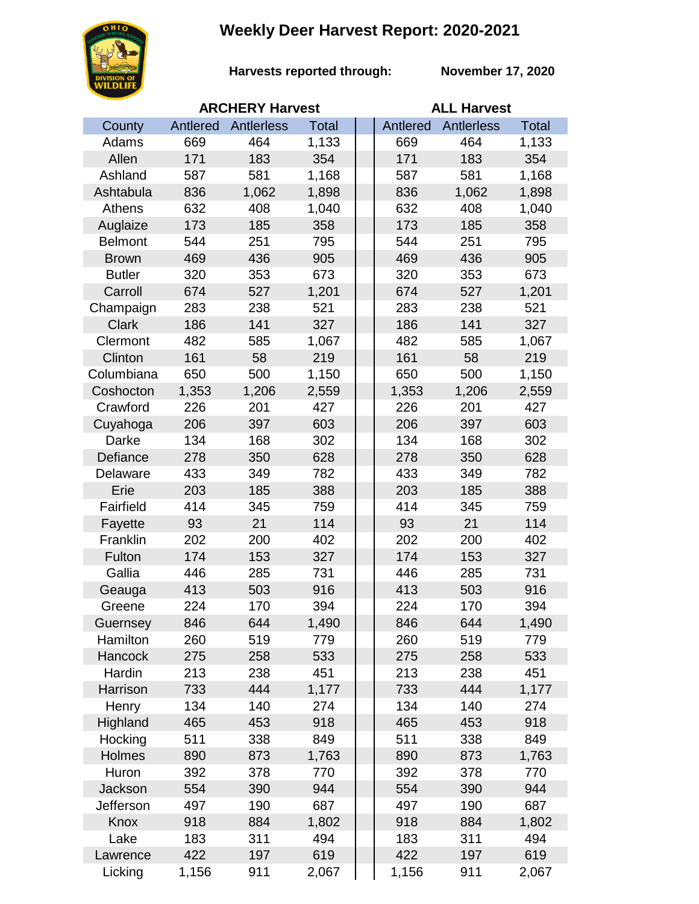## **Weekly Deer Harvest Report: 2020-2021**



**Harvests reported through:** 

**November 17, 2020**

|                | <b>ARCHERY Harvest</b> |            |              |  | <b>ALL Harvest</b> |                   |              |  |
|----------------|------------------------|------------|--------------|--|--------------------|-------------------|--------------|--|
| County         | Antlered               | Antlerless | <b>Total</b> |  | Antlered           | <b>Antlerless</b> | <b>Total</b> |  |
| Adams          | 669                    | 464        | 1,133        |  | 669                | 464               | 1,133        |  |
| Allen          | 171                    | 183        | 354          |  | 171                | 183               | 354          |  |
| Ashland        | 587                    | 581        | 1,168        |  | 587                | 581               | 1,168        |  |
| Ashtabula      | 836                    | 1,062      | 1,898        |  | 836                | 1,062             | 1,898        |  |
| Athens         | 632                    | 408        | 1,040        |  | 632                | 408               | 1,040        |  |
| Auglaize       | 173                    | 185        | 358          |  | 173                | 185               | 358          |  |
| <b>Belmont</b> | 544                    | 251        | 795          |  | 544                | 251               | 795          |  |
| <b>Brown</b>   | 469                    | 436        | 905          |  | 469                | 436               | 905          |  |
| <b>Butler</b>  | 320                    | 353        | 673          |  | 320                | 353               | 673          |  |
| Carroll        | 674                    | 527        | 1,201        |  | 674                | 527               | 1,201        |  |
| Champaign      | 283                    | 238        | 521          |  | 283                | 238               | 521          |  |
| <b>Clark</b>   | 186                    | 141        | 327          |  | 186                | 141               | 327          |  |
| Clermont       | 482                    | 585        | 1,067        |  | 482                | 585               | 1,067        |  |
| Clinton        | 161                    | 58         | 219          |  | 161                | 58                | 219          |  |
| Columbiana     | 650                    | 500        | 1,150        |  | 650                | 500               | 1,150        |  |
| Coshocton      | 1,353                  | 1,206      | 2,559        |  | 1,353              | 1,206             | 2,559        |  |
| Crawford       | 226                    | 201        | 427          |  | 226                | 201               | 427          |  |
| Cuyahoga       | 206                    | 397        | 603          |  | 206                | 397               | 603          |  |
| Darke          | 134                    | 168        | 302          |  | 134                | 168               | 302          |  |
| Defiance       | 278                    | 350        | 628          |  | 278                | 350               | 628          |  |
| Delaware       | 433                    | 349        | 782          |  | 433                | 349               | 782          |  |
| Erie           | 203                    | 185        | 388          |  | 203                | 185               | 388          |  |
| Fairfield      | 414                    | 345        | 759          |  | 414                | 345               | 759          |  |
| Fayette        | 93                     | 21         | 114          |  | 93                 | 21                | 114          |  |
| Franklin       | 202                    | 200        | 402          |  | 202                | 200               | 402          |  |
| Fulton         | 174                    | 153        | 327          |  | 174                | 153               | 327          |  |
| Gallia         | 446                    | 285        | 731          |  | 446                | 285               | 731          |  |
| Geauga         | 413                    | 503        | 916          |  | 413                | 503               | 916          |  |
| Greene         | 224                    | 170        | 394          |  | 224                | 170               | 394          |  |
| Guernsey       | 846                    | 644        | 1,490        |  | 846                | 644               | 1,490        |  |
| Hamilton       | 260                    | 519        | 779          |  | 260                | 519               | 779          |  |
| Hancock        | 275                    | 258        | 533          |  | 275                | 258               | 533          |  |
| Hardin         | 213                    | 238        | 451          |  | 213                | 238               | 451          |  |
| Harrison       | 733                    | 444        | 1,177        |  | 733                | 444               | 1,177        |  |
| Henry          | 134                    | 140        | 274          |  | 134                | 140               | 274          |  |
| Highland       | 465                    | 453        | 918          |  | 465                | 453               | 918          |  |
| Hocking        | 511                    | 338        | 849          |  | 511                | 338               | 849          |  |
| Holmes         | 890                    | 873        | 1,763        |  | 890                | 873               | 1,763        |  |
| Huron          | 392                    | 378        | 770          |  | 392                | 378               | 770          |  |
| Jackson        | 554                    | 390        | 944          |  | 554                | 390               | 944          |  |
| Jefferson      | 497                    | 190        | 687          |  | 497                | 190               | 687          |  |
| Knox           | 918                    | 884        | 1,802        |  | 918                | 884               | 1,802        |  |
| Lake           | 183                    | 311        | 494          |  | 183                | 311               | 494          |  |
| Lawrence       | 422                    | 197        | 619          |  | 422                | 197               | 619          |  |
| Licking        | 1,156                  | 911        | 2,067        |  | 1,156              | 911               | 2,067        |  |